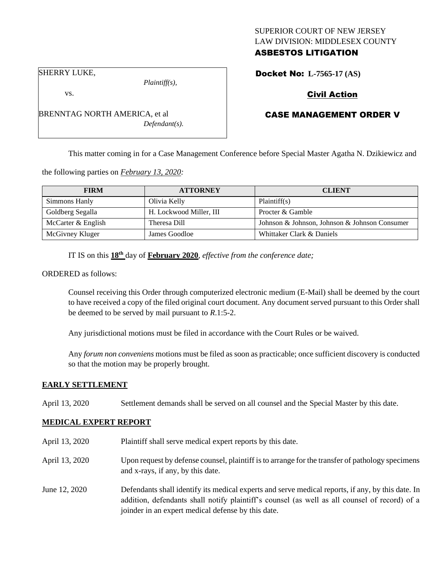## SUPERIOR COURT OF NEW JERSEY LAW DIVISION: MIDDLESEX COUNTY ASBESTOS LITIGATION

Docket No: **L-7565-17 (AS)** 

SHERRY LUKE,

vs.

*Plaintiff(s),*

Civil Action

# CASE MANAGEMENT ORDER V

This matter coming in for a Case Management Conference before Special Master Agatha N. Dzikiewicz and

the following parties on *February 13, 2020:*

| <b>FIRM</b>        | <b>ATTORNEY</b>         | <b>CLIENT</b>                                 |
|--------------------|-------------------------|-----------------------------------------------|
| Simmons Hanly      | Olivia Kelly            | Plaintiff(s)                                  |
| Goldberg Segalla   | H. Lockwood Miller, III | Procter & Gamble                              |
| McCarter & English | Theresa Dill            | Johnson & Johnson, Johnson & Johnson Consumer |
| McGivney Kluger    | James Goodloe           | Whittaker Clark & Daniels                     |

IT IS on this **18th** day of **February 2020**, *effective from the conference date;*

ORDERED as follows:

Counsel receiving this Order through computerized electronic medium (E-Mail) shall be deemed by the court to have received a copy of the filed original court document. Any document served pursuant to this Order shall be deemed to be served by mail pursuant to *R*.1:5-2.

Any jurisdictional motions must be filed in accordance with the Court Rules or be waived.

Any *forum non conveniens* motions must be filed as soon as practicable; once sufficient discovery is conducted so that the motion may be properly brought.

#### **EARLY SETTLEMENT**

April 13, 2020 Settlement demands shall be served on all counsel and the Special Master by this date.

#### **MEDICAL EXPERT REPORT**

- April 13, 2020 Plaintiff shall serve medical expert reports by this date.
- April 13, 2020 Upon request by defense counsel, plaintiff is to arrange for the transfer of pathology specimens and x-rays, if any, by this date.
- June 12, 2020 Defendants shall identify its medical experts and serve medical reports, if any, by this date. In addition, defendants shall notify plaintiff's counsel (as well as all counsel of record) of a joinder in an expert medical defense by this date.

BRENNTAG NORTH AMERICA, et al *Defendant(s).*